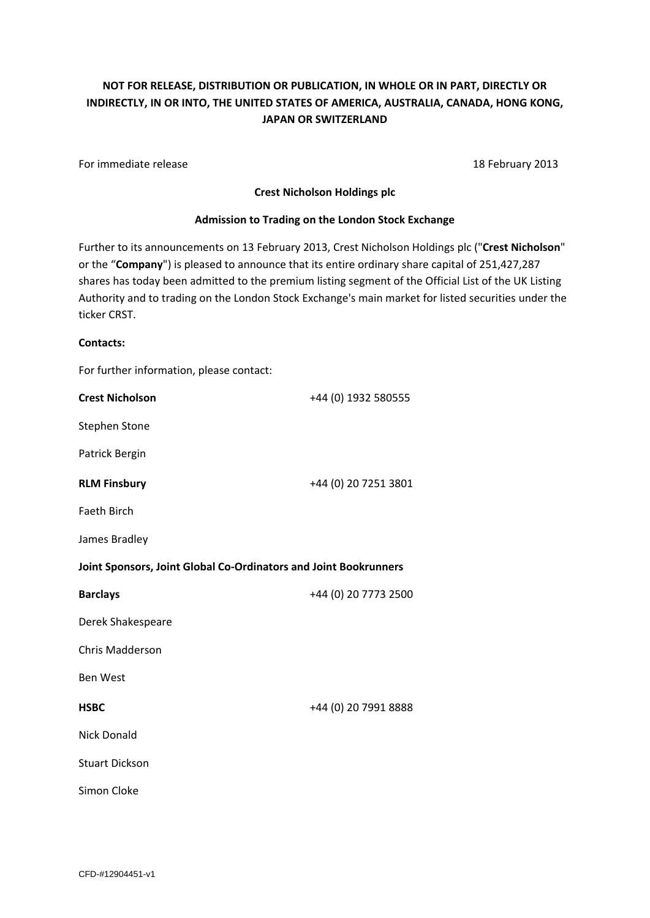# **NOT FOR RELEASE, DISTRIBUTION OR PUBLICATION, IN WHOLE OR IN PART, DIRECTLY OR INDIRECTLY, IN OR INTO, THE UNITED STATES OF AMERICA, AUSTRALIA, CANADA, HONG KONG, JAPAN OR SWITZERLAND**

For immediate release 18 February 2013

### **Crest Nicholson Holdings plc**

### **Admission to Trading on the London Stock Exchange**

Further to its announcements on 13 February 2013, Crest Nicholson Holdings plc ("**Crest Nicholson**" or the "**Company**") is pleased to announce that its entire ordinary share capital of 251,427,287 shares has today been admitted to the premium listing segment of the Official List of the UK Listing Authority and to trading on the London Stock Exchange's main market for listed securities under the ticker CRST.

## **Contacts:**

For further information, please contact:

| <b>Crest Nicholson</b>                                           | +44 (0) 1932 580555  |
|------------------------------------------------------------------|----------------------|
| Stephen Stone                                                    |                      |
| Patrick Bergin                                                   |                      |
| <b>RLM Finsbury</b>                                              | +44 (0) 20 7251 3801 |
| Faeth Birch                                                      |                      |
| James Bradley                                                    |                      |
| Joint Sponsors, Joint Global Co-Ordinators and Joint Bookrunners |                      |
| <b>Barclays</b>                                                  | +44 (0) 20 7773 2500 |
| Derek Shakespeare                                                |                      |
| Chris Madderson                                                  |                      |
| Ben West                                                         |                      |
| <b>HSBC</b>                                                      | +44 (0) 20 7991 8888 |
| <b>Nick Donald</b>                                               |                      |
| <b>Stuart Dickson</b>                                            |                      |
| Simon Cloke                                                      |                      |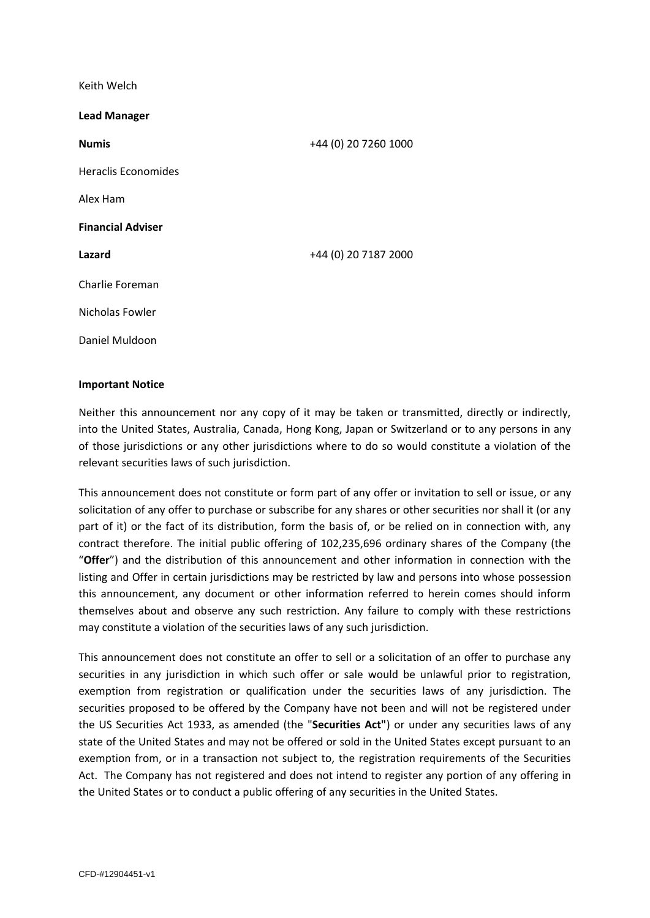## Keith Welch

| <b>Lead Manager</b>        |                      |
|----------------------------|----------------------|
| <b>Numis</b>               | +44 (0) 20 7260 1000 |
| <b>Heraclis Economides</b> |                      |
| Alex Ham                   |                      |
| <b>Financial Adviser</b>   |                      |
| Lazard                     | +44 (0) 20 7187 2000 |
| Charlie Foreman            |                      |
| Nicholas Fowler            |                      |
| Daniel Muldoon             |                      |
|                            |                      |

#### **Important Notice**

Neither this announcement nor any copy of it may be taken or transmitted, directly or indirectly, into the United States, Australia, Canada, Hong Kong, Japan or Switzerland or to any persons in any of those jurisdictions or any other jurisdictions where to do so would constitute a violation of the relevant securities laws of such jurisdiction.

This announcement does not constitute or form part of any offer or invitation to sell or issue, or any solicitation of any offer to purchase or subscribe for any shares or other securities nor shall it (or any part of it) or the fact of its distribution, form the basis of, or be relied on in connection with, any contract therefore. The initial public offering of 102,235,696 ordinary shares of the Company (the "**Offer**") and the distribution of this announcement and other information in connection with the listing and Offer in certain jurisdictions may be restricted by law and persons into whose possession this announcement, any document or other information referred to herein comes should inform themselves about and observe any such restriction. Any failure to comply with these restrictions may constitute a violation of the securities laws of any such jurisdiction.

This announcement does not constitute an offer to sell or a solicitation of an offer to purchase any securities in any jurisdiction in which such offer or sale would be unlawful prior to registration, exemption from registration or qualification under the securities laws of any jurisdiction. The securities proposed to be offered by the Company have not been and will not be registered under the US Securities Act 1933, as amended (the "**Securities Act"**) or under any securities laws of any state of the United States and may not be offered or sold in the United States except pursuant to an exemption from, or in a transaction not subject to, the registration requirements of the Securities Act. The Company has not registered and does not intend to register any portion of any offering in the United States or to conduct a public offering of any securities in the United States.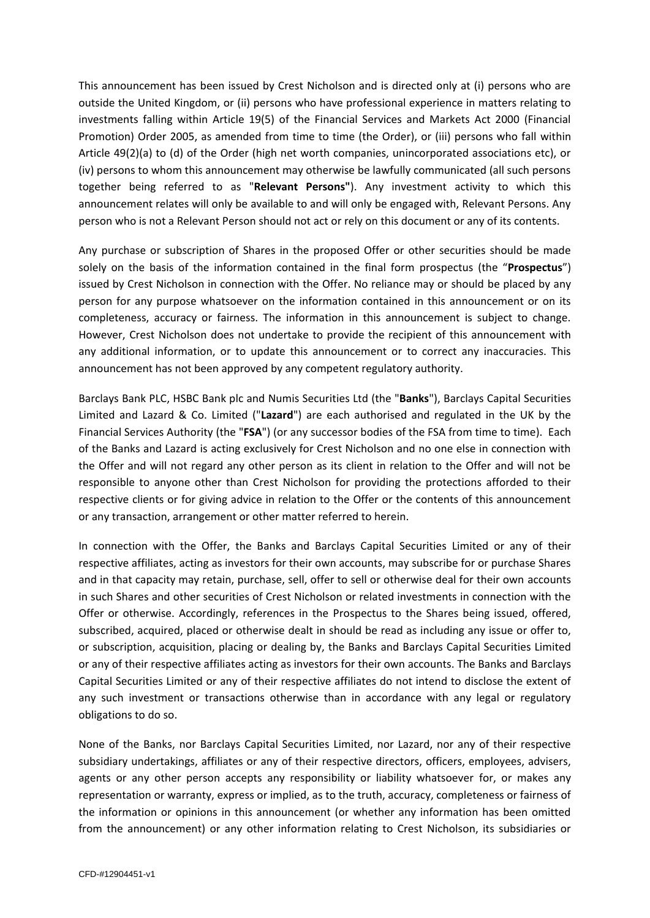This announcement has been issued by Crest Nicholson and is directed only at (i) persons who are outside the United Kingdom, or (ii) persons who have professional experience in matters relating to investments falling within Article 19(5) of the Financial Services and Markets Act 2000 (Financial Promotion) Order 2005, as amended from time to time (the Order), or (iii) persons who fall within Article 49(2)(a) to (d) of the Order (high net worth companies, unincorporated associations etc), or (iv) persons to whom this announcement may otherwise be lawfully communicated (all such persons together being referred to as "**Relevant Persons"**). Any investment activity to which this announcement relates will only be available to and will only be engaged with, Relevant Persons. Any person who is not a Relevant Person should not act or rely on this document or any of its contents.

Any purchase or subscription of Shares in the proposed Offer or other securities should be made solely on the basis of the information contained in the final form prospectus (the "**Prospectus**") issued by Crest Nicholson in connection with the Offer. No reliance may or should be placed by any person for any purpose whatsoever on the information contained in this announcement or on its completeness, accuracy or fairness. The information in this announcement is subject to change. However, Crest Nicholson does not undertake to provide the recipient of this announcement with any additional information, or to update this announcement or to correct any inaccuracies. This announcement has not been approved by any competent regulatory authority.

Barclays Bank PLC, HSBC Bank plc and Numis Securities Ltd (the "**Banks**"), Barclays Capital Securities Limited and Lazard & Co. Limited ("**Lazard**") are each authorised and regulated in the UK by the Financial Services Authority (the "**FSA**") (or any successor bodies of the FSA from time to time). Each of the Banks and Lazard is acting exclusively for Crest Nicholson and no one else in connection with the Offer and will not regard any other person as its client in relation to the Offer and will not be responsible to anyone other than Crest Nicholson for providing the protections afforded to their respective clients or for giving advice in relation to the Offer or the contents of this announcement or any transaction, arrangement or other matter referred to herein.

In connection with the Offer, the Banks and Barclays Capital Securities Limited or any of their respective affiliates, acting as investors for their own accounts, may subscribe for or purchase Shares and in that capacity may retain, purchase, sell, offer to sell or otherwise deal for their own accounts in such Shares and other securities of Crest Nicholson or related investments in connection with the Offer or otherwise. Accordingly, references in the Prospectus to the Shares being issued, offered, subscribed, acquired, placed or otherwise dealt in should be read as including any issue or offer to, or subscription, acquisition, placing or dealing by, the Banks and Barclays Capital Securities Limited or any of their respective affiliates acting as investors for their own accounts. The Banks and Barclays Capital Securities Limited or any of their respective affiliates do not intend to disclose the extent of any such investment or transactions otherwise than in accordance with any legal or regulatory obligations to do so.

None of the Banks, nor Barclays Capital Securities Limited, nor Lazard, nor any of their respective subsidiary undertakings, affiliates or any of their respective directors, officers, employees, advisers, agents or any other person accepts any responsibility or liability whatsoever for, or makes any representation or warranty, express or implied, as to the truth, accuracy, completeness or fairness of the information or opinions in this announcement (or whether any information has been omitted from the announcement) or any other information relating to Crest Nicholson, its subsidiaries or